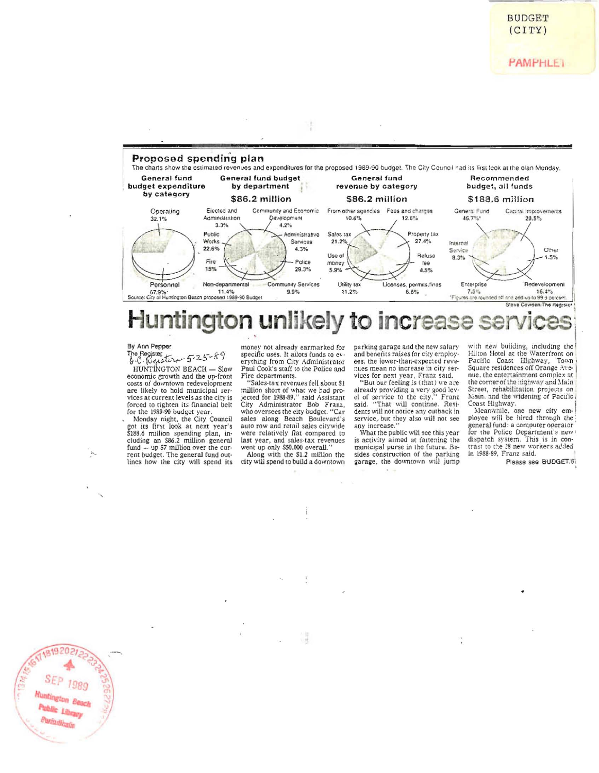**PAMPHLET** 



## ntington unlikely to increase Hur K W

## By Ann Pepper

181920

Public Librar Paniadicala

The Register<br>B.C. fuguster - 5-25-89

HUNTINGTON BEACH - Slow economic growth and the up-front costs of downtown redevelopment are likely to hold municipal services at current levels as the city is forced to tighten its financial belt for the 1989-90 budget year.<br>Monday night, the City Council<br>got its first look at next year's

\$188.6 million spending plan, including an S86.2 million general fund --- up \$7 million over the current budget. The general fund outlines how the city will spend its money not already earmarked for specific uses. It allots funds to everything from City Administrator Paul Cook's staff to the Police and Fire departments.

"Sales-tax revenues fell about \$1<br>million short of what we had projected for 1988-89," said Assistant City Administrator Bob Franz, who oversees the eity budget. "Car sales along Beach Boulevard's<br>auto row and retail sales citywide were relatively flat compared to last year, and sales tax revenues<br>went up only \$50,000 overall."

Along with the \$1.2 million the city will spend to build a downtown parking garage and the new salary<br>and benefits raises for city employees, the lower-than-expected revenues mean no increase in city services for next year, Franz said.

"But our feeling is (that) we are already providing a very good level of service to the city," Franz said. "That will continue. Residents will not notice any cutback in service, but they also will not see<br>any increase."

What the public will see this year is activity aimed at fattening the municipal purse in the future. Besides construction of the parking garage, the downtown will jump

with new building, including the<br>Hilton Hotel at the Waterfront on Pacific Coast Highway, Town Square residences off Orange Avenue, the entertainment complex at the corner of the highway and Main Street, rehabilitation projects on Main, and the widening of Pacific Coast Highway.<br>Meanwhile, one new city em-

ployee will be hired through the general fund: a con:puter operator for the Police Department's news dispatch system. This is in contrast to the 28 new workers added in 1988-89, Franz said.

Please see BUDGET.61